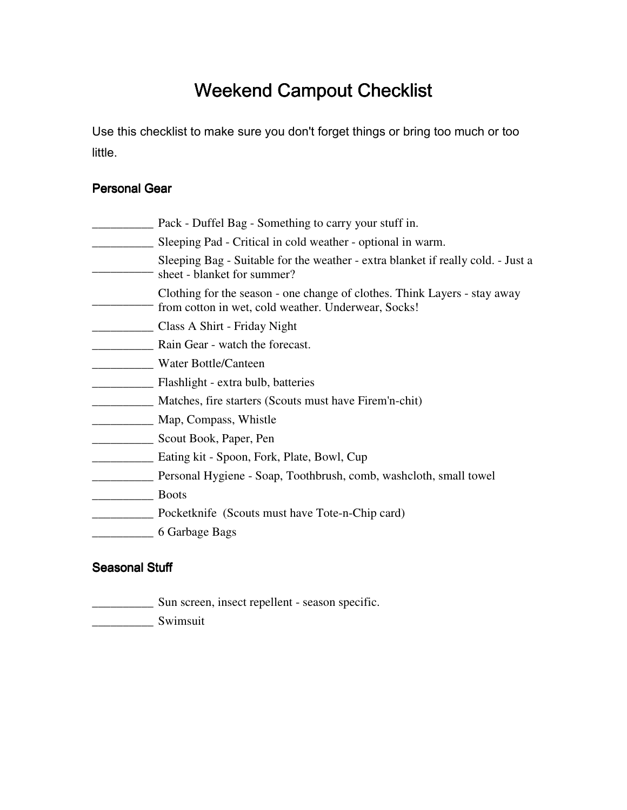# Weekend Campout Checklist

Use this checklist to make sure you don't forget things or bring too much or too little.

#### Personal Gear

|  | Pack - Duffel Bag - Something to carry your stuff in. |  |  |  |
|--|-------------------------------------------------------|--|--|--|
|  |                                                       |  |  |  |

- \_\_\_\_\_\_\_\_\_\_ Sleeping Pad Critical in cold weather optional in warm. sheet - blanket for summer? Sleeping Bag - Suitable for the weather - extra blanket if really cold. - Just a
- $\overline{\phantom{a}}$  , where  $\overline{\phantom{a}}$ Clothing for the season - one change of clothes. Think Layers - stay away from cotton in wet, cold weather. Underwear, Socks!
- \_\_\_\_\_\_\_\_\_\_ Class A Shirt Friday Night
- **Example 2** Rain Gear watch the forecast.
- \_\_\_\_\_\_\_\_\_\_ Water Bottle/Canteen
- \_\_\_\_\_\_\_\_\_\_ Flashlight extra bulb, batteries
- \_\_\_\_\_\_\_\_\_\_ Matches, fire starters (Scouts must have Firem'n-chit)
- \_\_\_\_\_\_\_\_\_\_ Map, Compass, Whistle
- \_\_\_\_\_\_\_\_\_\_ Scout Book, Paper, Pen
- \_\_\_\_\_\_\_\_\_\_ Eating kit Spoon, Fork, Plate, Bowl, Cup
- **Example 2018** Personal Hygiene Soap, Toothbrush, comb, washcloth, small towel
- \_\_\_\_\_\_\_\_\_\_ Boots
- \_\_\_\_\_\_\_\_\_\_ Pocketknife (Scouts must have Tote-n-Chip card)
- \_\_\_\_\_\_\_\_\_\_ 6 Garbage Bags

### **Seasonal Stuff**

- \_\_\_\_\_\_\_\_\_\_ Sun screen, insect repellent season specific.
- \_\_\_\_\_\_\_\_\_\_ Swimsuit